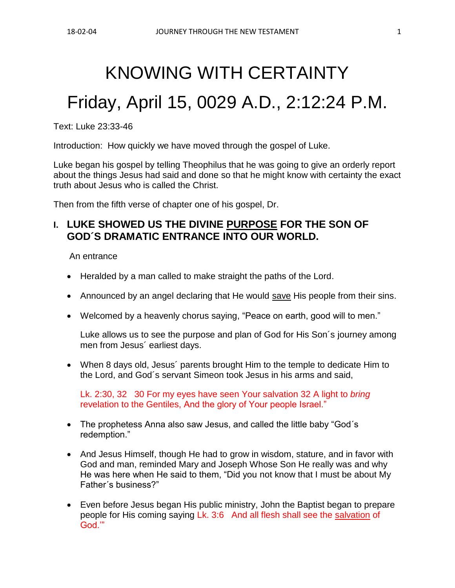# KNOWING WITH CERTAINTY

# Friday, April 15, 0029 A.D., 2:12:24 P.M.

Text: Luke 23:33-46

Introduction: How quickly we have moved through the gospel of Luke.

Luke began his gospel by telling Theophilus that he was going to give an orderly report about the things Jesus had said and done so that he might know with certainty the exact truth about Jesus who is called the Christ.

Then from the fifth verse of chapter one of his gospel, Dr.

# **I. LUKE SHOWED US THE DIVINE PURPOSE FOR THE SON OF GOD´S DRAMATIC ENTRANCE INTO OUR WORLD.**

An entrance

- Heralded by a man called to make straight the paths of the Lord.
- Announced by an angel declaring that He would save His people from their sins.
- Welcomed by a heavenly chorus saying, "Peace on earth, good will to men."

Luke allows us to see the purpose and plan of God for His Son´s journey among men from Jesus´ earliest days.

• When 8 days old, Jesus´ parents brought Him to the temple to dedicate Him to the Lord, and God´s servant Simeon took Jesus in his arms and said,

Lk. 2:30, 32 30 For my eyes have seen Your salvation 32 A light to *bring* revelation to the Gentiles, And the glory of Your people Israel."

- The prophetess Anna also saw Jesus, and called the little baby "God's redemption."
- And Jesus Himself, though He had to grow in wisdom, stature, and in favor with God and man, reminded Mary and Joseph Whose Son He really was and why He was here when He said to them, "Did you not know that I must be about My Father´s business?"
- Even before Jesus began His public ministry, John the Baptist began to prepare people for His coming saying Lk. 3:6 And all flesh shall see the salvation of God.'"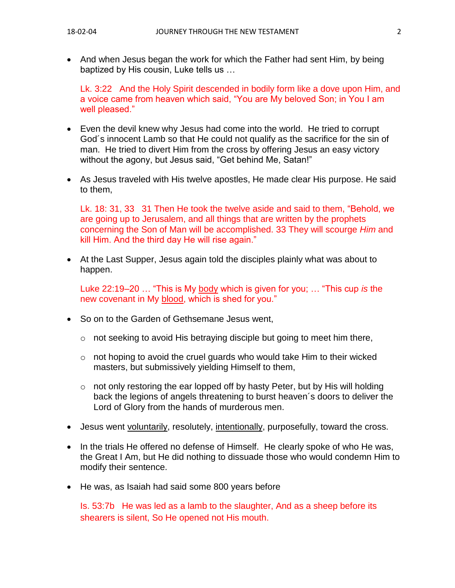• And when Jesus began the work for which the Father had sent Him, by being baptized by His cousin, Luke tells us …

Lk. 3:22 And the Holy Spirit descended in bodily form like a dove upon Him, and a voice came from heaven which said, "You are My beloved Son; in You I am well pleased."

- Even the devil knew why Jesus had come into the world. He tried to corrupt God´s innocent Lamb so that He could not qualify as the sacrifice for the sin of man. He tried to divert Him from the cross by offering Jesus an easy victory without the agony, but Jesus said, "Get behind Me, Satan!"
- As Jesus traveled with His twelve apostles, He made clear His purpose. He said to them,

Lk. 18: 31, 33 31 Then He took the twelve aside and said to them, "Behold, we are going up to Jerusalem, and all things that are written by the prophets concerning the Son of Man will be accomplished. 33 They will scourge *Him* and kill Him. And the third day He will rise again."

• At the Last Supper, Jesus again told the disciples plainly what was about to happen.

Luke 22:19–20 … "This is My body which is given for you; … "This cup *is* the new covenant in My blood, which is shed for you."

- So on to the Garden of Gethsemane Jesus went,
	- o not seeking to avoid His betraying disciple but going to meet him there,
	- $\circ$  not hoping to avoid the cruel guards who would take Him to their wicked masters, but submissively yielding Himself to them,
	- $\circ$  not only restoring the ear lopped off by hasty Peter, but by His will holding back the legions of angels threatening to burst heaven´s doors to deliver the Lord of Glory from the hands of murderous men.
- Jesus went voluntarily, resolutely, intentionally, purposefully, toward the cross.
- In the trials He offered no defense of Himself. He clearly spoke of who He was, the Great I Am, but He did nothing to dissuade those who would condemn Him to modify their sentence.
- He was, as Isaiah had said some 800 years before

Is. 53:7b He was led as a lamb to the slaughter, And as a sheep before its shearers is silent, So He opened not His mouth.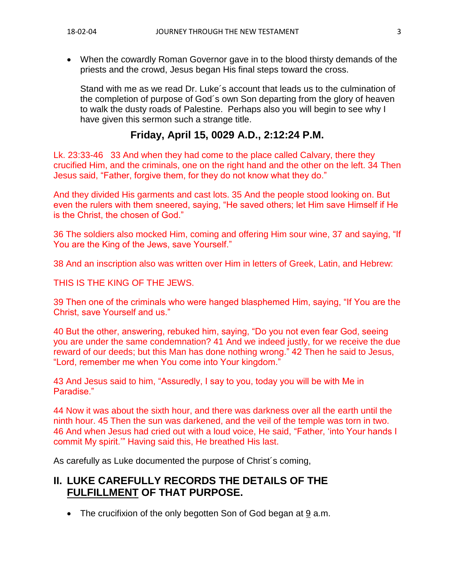• When the cowardly Roman Governor gave in to the blood thirsty demands of the priests and the crowd, Jesus began His final steps toward the cross.

Stand with me as we read Dr. Luke´s account that leads us to the culmination of the completion of purpose of God´s own Son departing from the glory of heaven to walk the dusty roads of Palestine. Perhaps also you will begin to see why I have given this sermon such a strange title.

## **Friday, April 15, 0029 A.D., 2:12:24 P.M.**

Lk. 23:33-46 33 And when they had come to the place called Calvary, there they crucified Him, and the criminals, one on the right hand and the other on the left. 34 Then Jesus said, "Father, forgive them, for they do not know what they do."

And they divided His garments and cast lots. 35 And the people stood looking on. But even the rulers with them sneered, saying, "He saved others; let Him save Himself if He is the Christ, the chosen of God."

36 The soldiers also mocked Him, coming and offering Him sour wine, 37 and saying, "If You are the King of the Jews, save Yourself."

38 And an inscription also was written over Him in letters of Greek, Latin, and Hebrew:

THIS IS THE KING OF THE JEWS.

39 Then one of the criminals who were hanged blasphemed Him, saying, "If You are the Christ, save Yourself and us."

40 But the other, answering, rebuked him, saying, "Do you not even fear God, seeing you are under the same condemnation? 41 And we indeed justly, for we receive the due reward of our deeds; but this Man has done nothing wrong." 42 Then he said to Jesus, "Lord, remember me when You come into Your kingdom."

43 And Jesus said to him, "Assuredly, I say to you, today you will be with Me in Paradise."

44 Now it was about the sixth hour, and there was darkness over all the earth until the ninth hour. 45 Then the sun was darkened, and the veil of the temple was torn in two. 46 And when Jesus had cried out with a loud voice, He said, "Father, 'into Your hands I commit My spirit.'" Having said this, He breathed His last.

As carefully as Luke documented the purpose of Christ´s coming,

# **II. LUKE CAREFULLY RECORDS THE DETAILS OF THE FULFILLMENT OF THAT PURPOSE.**

• The crucifixion of the only begotten Son of God began at 9 a.m.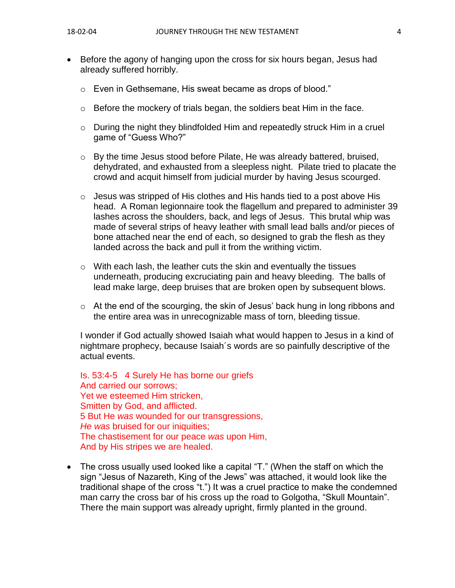- Before the agony of hanging upon the cross for six hours began, Jesus had already suffered horribly.
	- o Even in Gethsemane, His sweat became as drops of blood."
	- $\circ$  Before the mockery of trials began, the soldiers beat Him in the face.
	- o During the night they blindfolded Him and repeatedly struck Him in a cruel game of "Guess Who?"
	- o By the time Jesus stood before Pilate, He was already battered, bruised, dehydrated, and exhausted from a sleepless night. Pilate tried to placate the crowd and acquit himself from judicial murder by having Jesus scourged.
	- $\circ$  Jesus was stripped of His clothes and His hands tied to a post above His head. A Roman legionnaire took the flagellum and prepared to administer 39 lashes across the shoulders, back, and legs of Jesus. This brutal whip was made of several strips of heavy leather with small lead balls and/or pieces of bone attached near the end of each, so designed to grab the flesh as they landed across the back and pull it from the writhing victim.
	- o With each lash, the leather cuts the skin and eventually the tissues underneath, producing excruciating pain and heavy bleeding. The balls of lead make large, deep bruises that are broken open by subsequent blows.
	- o At the end of the scourging, the skin of Jesus' back hung in long ribbons and the entire area was in unrecognizable mass of torn, bleeding tissue.

I wonder if God actually showed Isaiah what would happen to Jesus in a kind of nightmare prophecy, because Isaiah´s words are so painfully descriptive of the actual events.

Is. 53:4-5 4 Surely He has borne our griefs And carried our sorrows; Yet we esteemed Him stricken, Smitten by God, and afflicted. 5 But He *was* wounded for our transgressions, *He was* bruised for our iniquities; The chastisement for our peace *was* upon Him, And by His stripes we are healed.

• The cross usually used looked like a capital "T." (When the staff on which the sign "Jesus of Nazareth, King of the Jews" was attached, it would look like the traditional shape of the cross "t.") It was a cruel practice to make the condemned man carry the cross bar of his cross up the road to Golgotha, "Skull Mountain". There the main support was already upright, firmly planted in the ground.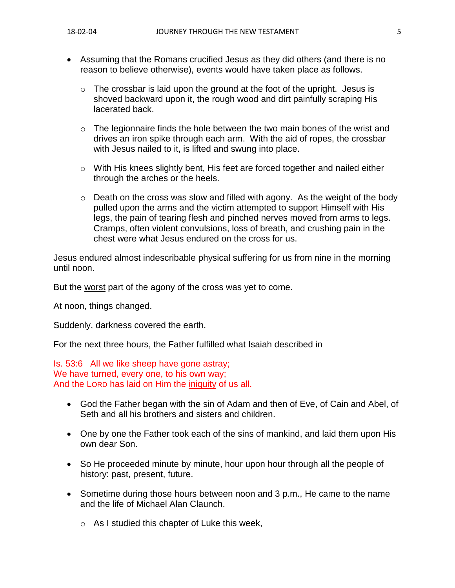- Assuming that the Romans crucified Jesus as they did others (and there is no reason to believe otherwise), events would have taken place as follows.
	- $\circ$  The crossbar is laid upon the ground at the foot of the upright. Jesus is shoved backward upon it, the rough wood and dirt painfully scraping His lacerated back.
	- $\circ$  The legionnaire finds the hole between the two main bones of the wrist and drives an iron spike through each arm. With the aid of ropes, the crossbar with Jesus nailed to it, is lifted and swung into place.
	- $\circ$  With His knees slightly bent, His feet are forced together and nailed either through the arches or the heels.
	- $\circ$  Death on the cross was slow and filled with agony. As the weight of the body pulled upon the arms and the victim attempted to support Himself with His legs, the pain of tearing flesh and pinched nerves moved from arms to legs. Cramps, often violent convulsions, loss of breath, and crushing pain in the chest were what Jesus endured on the cross for us.

Jesus endured almost indescribable physical suffering for us from nine in the morning until noon.

But the worst part of the agony of the cross was yet to come.

At noon, things changed.

Suddenly, darkness covered the earth.

For the next three hours, the Father fulfilled what Isaiah described in

Is. 53:6 All we like sheep have gone astray; We have turned, every one, to his own way; And the LORD has laid on Him the iniquity of us all.

- God the Father began with the sin of Adam and then of Eve, of Cain and Abel, of Seth and all his brothers and sisters and children.
- One by one the Father took each of the sins of mankind, and laid them upon His own dear Son.
- So He proceeded minute by minute, hour upon hour through all the people of history: past, present, future.
- Sometime during those hours between noon and 3 p.m., He came to the name and the life of Michael Alan Claunch.
	- o As I studied this chapter of Luke this week,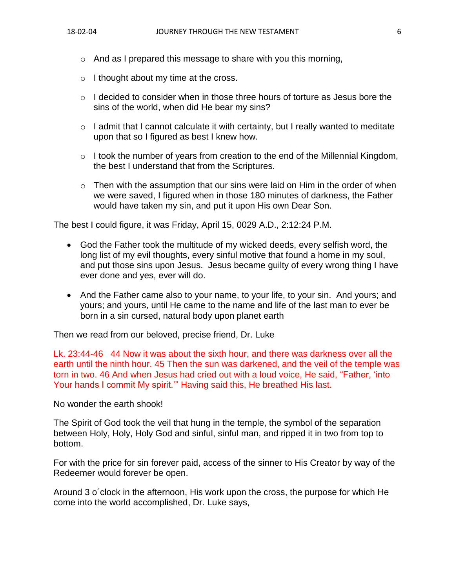- $\circ$  And as I prepared this message to share with you this morning,
- o I thought about my time at the cross.
- $\circ$  I decided to consider when in those three hours of torture as Jesus bore the sins of the world, when did He bear my sins?
- $\circ$  I admit that I cannot calculate it with certainty, but I really wanted to meditate upon that so I figured as best I knew how.
- $\circ$  I took the number of years from creation to the end of the Millennial Kingdom, the best I understand that from the Scriptures.
- $\circ$  Then with the assumption that our sins were laid on Him in the order of when we were saved, I figured when in those 180 minutes of darkness, the Father would have taken my sin, and put it upon His own Dear Son.

The best I could figure, it was Friday, April 15, 0029 A.D., 2:12:24 P.M.

- God the Father took the multitude of my wicked deeds, every selfish word, the long list of my evil thoughts, every sinful motive that found a home in my soul, and put those sins upon Jesus. Jesus became guilty of every wrong thing I have ever done and yes, ever will do.
- And the Father came also to your name, to your life, to your sin. And yours; and yours; and yours, until He came to the name and life of the last man to ever be born in a sin cursed, natural body upon planet earth

Then we read from our beloved, precise friend, Dr. Luke

Lk. 23:44-46 44 Now it was about the sixth hour, and there was darkness over all the earth until the ninth hour. 45 Then the sun was darkened, and the veil of the temple was torn in two. 46 And when Jesus had cried out with a loud voice, He said, "Father, 'into Your hands I commit My spirit.'" Having said this, He breathed His last.

No wonder the earth shook!

The Spirit of God took the veil that hung in the temple, the symbol of the separation between Holy, Holy, Holy God and sinful, sinful man, and ripped it in two from top to bottom.

For with the price for sin forever paid, access of the sinner to His Creator by way of the Redeemer would forever be open.

Around 3 o´clock in the afternoon, His work upon the cross, the purpose for which He come into the world accomplished, Dr. Luke says,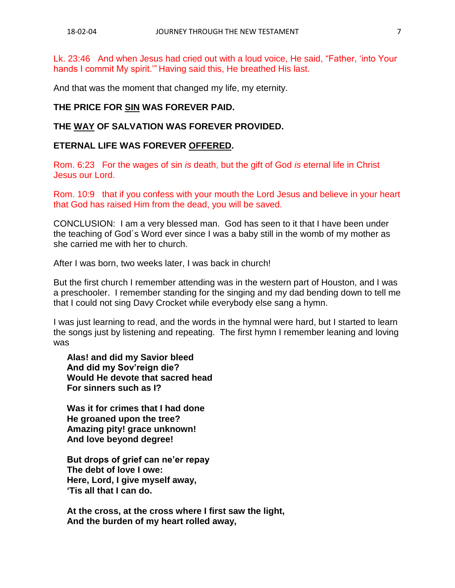Lk. 23:46 And when Jesus had cried out with a loud voice, He said, "Father, 'into Your hands I commit My spirit.'" Having said this, He breathed His last.

And that was the moment that changed my life, my eternity.

#### **THE PRICE FOR SIN WAS FOREVER PAID.**

#### **THE WAY OF SALVATION WAS FOREVER PROVIDED.**

#### **ETERNAL LIFE WAS FOREVER OFFERED.**

Rom. 6:23 For the wages of sin *is* death, but the gift of God *is* eternal life in Christ Jesus our Lord.

Rom. 10:9 that if you confess with your mouth the Lord Jesus and believe in your heart that God has raised Him from the dead, you will be saved.

CONCLUSION: I am a very blessed man. God has seen to it that I have been under the teaching of God´s Word ever since I was a baby still in the womb of my mother as she carried me with her to church.

After I was born, two weeks later, I was back in church!

But the first church I remember attending was in the western part of Houston, and I was a preschooler. I remember standing for the singing and my dad bending down to tell me that I could not sing Davy Crocket while everybody else sang a hymn.

I was just learning to read, and the words in the hymnal were hard, but I started to learn the songs just by listening and repeating. The first hymn I remember leaning and loving was

**Alas! and did my Savior bleed And did my Sov'reign die? Would He devote that sacred head For sinners such as I?**

**Was it for crimes that I had done He groaned upon the tree? Amazing pity! grace unknown! And love beyond degree!**

**But drops of grief can ne'er repay The debt of love I owe: Here, Lord, I give myself away, 'Tis all that I can do.**

**At the cross, at the cross where I first saw the light, And the burden of my heart rolled away,**